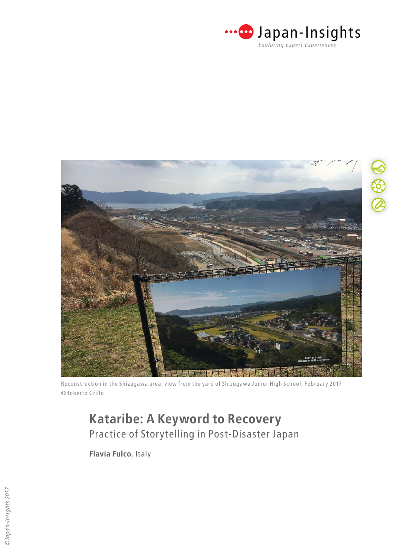



Reconstruction in the Shizugawa area; view from the yard of Shizugawa Junior High School, February 2017 ©Roberto Grillo

**Flavia Fulco**, Italy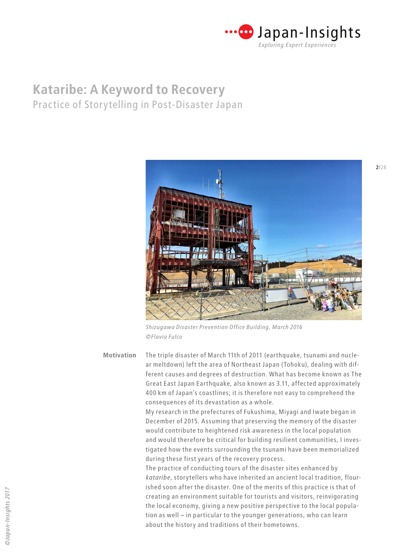



*Shizugawa Disaster Prevention Office Building, March 2016 ©Flavia Fulco*

The triple disaster of March 11th of 2011 (earthquake, tsunami and nuclear meltdown) left the area of Northeast Japan (Tohoku), dealing with different causes and degrees of destruction. What has become known as The Great East Japan Earthquake, also known as 3.11, affected approximately 400 km of Japan's coastlines; it is therefore not easy to comprehend the consequences of its devastation as a whole. **Motivation**

> My research in the prefectures of Fukushima, Miyagi and Iwate began in December of 2015. Assuming that preserving the memory of the disaster would contribute to heightened risk awareness in the local population and would therefore be critical for building resilient communities, I investigated how the events surrounding the tsunami have been memorialized during these first years of the recovery process.

> The practice of conducting tours of the disaster sites enhanced by *kataribe*, storytellers who have inherited an ancient local tradition, flourished soon after the disaster. One of the merits of this practice is that of creating an environment suitable for tourists and visitors, reinvigorating the local economy, giving a new positive perspective to the local population as well – in particular to the younger generations, who can learn about the history and traditions of their hometowns.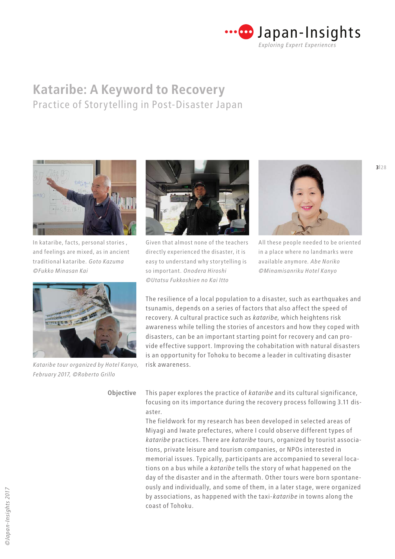



In kataribe, facts, personal stories , and feelings are mixed, as in ancient traditional kataribe. *Goto Kazuma ©Fukko Minasan Kai*



*Kataribe tour organized by Hotel Kanyo, February 2017, ©Roberto Grillo*



Given that almost none of the teachers directly experienced the disaster, it is easy to understand why storytelling is so important. *Onodera Hiroshi ©Utatsu Fukkoshien no Kai Itto*



All these people needed to be oriented in a place where no landmarks were available anymore*. Abe Noriko ©Minamisanriku Hotel Kanyo*

The resilience of a local population to a disaster, such as earthquakes and tsunamis, depends on a series of factors that also affect the speed of recovery. A cultural practice such as *kataribe,* which heightens risk awareness while telling the stories of ancestors and how they coped with disasters, can be an important starting point for recovery and can provide effective support. Improving the cohabitation with natural disasters is an opportunity for Tohoku to become a leader in cultivating disaster risk awareness.

**Objective**

This paper explores the practice of *kataribe* and its cultural significance, focusing on its importance during the recovery process following 3.11 disaster.

The fieldwork for my research has been developed in selected areas of Miyagi and Iwate prefectures, where I could observe different types of *kataribe* practices. There are *kataribe* tours, organized by tourist associations, private leisure and tourism companies, or NPOs interested in memorial issues. Typically, participants are accompanied to several locations on a bus while a *kataribe* tells the story of what happened on the day of the disaster and in the aftermath. Other tours were born spontaneously and individually, and some of them, in a later stage, were organized by associations, as happened with the taxi-*kataribe* in towns along the coast of Tohoku.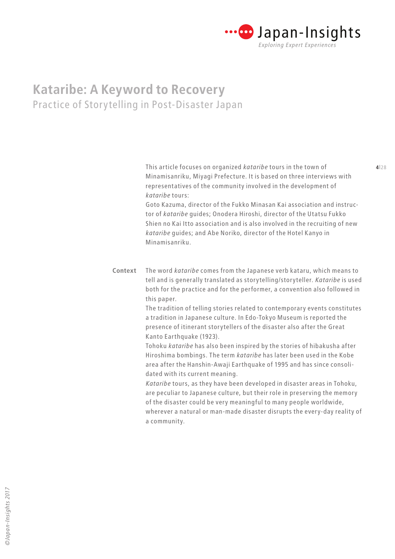

**3**|28 **4**|28 This article focuses on organized *kataribe* tours in the town of Minamisanriku, Miyagi Prefecture. It is based on three interviews with representatives of the community involved in the development of *kataribe* tours:

> Goto Kazuma, director of the Fukko Minasan Kai association and instructor of *kataribe* guides; Onodera Hiroshi, director of the Utatsu Fukko Shien no Kai Itto association and is also involved in the recruiting of new *kataribe* guides; and Abe Noriko, director of the Hotel Kanyo in Minamisanriku.

The word *kataribe* comes from the Japanese verb kataru, which means to tell and is generally translated as storytelling/storyteller. *Kataribe* is used both for the practice and for the performer, a convention also followed in this paper. **Context**

> The tradition of telling stories related to contemporary events constitutes a tradition in Japanese culture. In Edo-Tokyo Museum is reported the presence of itinerant storytellers of the disaster also after the Great Kanto Earthquake (1923).

Tohoku *kataribe* has also been inspired by the stories of hibakusha after Hiroshima bombings. The term *kataribe* has later been used in the Kobe area after the Hanshin-Awaji Earthquake of 1995 and has since consolidated with its current meaning.

*Kataribe* tours, as they have been developed in disaster areas in Tohoku, are peculiar to Japanese culture, but their role in preserving the memory of the disaster could be very meaningful to many people worldwide, wherever a natural or man-made disaster disrupts the every-day reality of a community.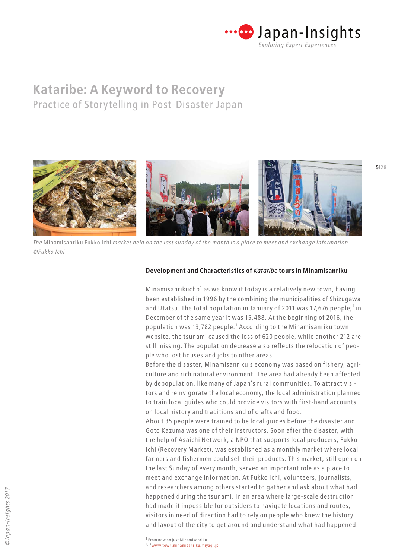



*The* Minamisanriku Fukko Ichi *market held on the last sunday of the month is a place to meet and exchange information ©Fukko Ichi*

### **Development and Characteristics of** *Kataribe* **tours in Minamisanriku**

Minamisanrikucho<sup>1</sup> as we know it today is a relatively new town, having been established in 1996 by the combining the municipalities of Shizugawa and Utatsu. The total population in January of 2011 was 17,676 people;<sup>2</sup> in December of the same year it was 15,488. At the beginning of 2016, the population was 13,782 people.<sup>3</sup> According to the Minamisanriku town website, the tsunami caused the loss of 620 people, while another 212 are still missing. The population decrease also reflects the relocation of people who lost houses and jobs to other areas.

Before the disaster, Minamisanriku's economy was based on fishery, agriculture and rich natural environment. The area had already been affected by depopulation, like many of Japan's rural communities. To attract visitors and reinvigorate the local economy, the local administration planned to train local guides who could provide visitors with first-hand accounts on local history and traditions and of crafts and food.

About 35 people were trained to be local guides before the disaster and Goto Kazuma was one of their instructors. Soon after the disaster, with the help of Asaichi Network, a NPO that supports local producers, Fukko Ichi (Recovery Market), was established as a monthly market where local farmers and fishermen could sell their products. This market, still open on the last Sunday of every month, served an important role as a place to meet and exchange information. At Fukko Ichi, volunteers, journalists, and researchers among others started to gather and ask about what had happened during the tsunami. In an area where large-scale destruction had made it impossible for outsiders to navigate locations and routes, visitors in need of direction had to rely on people who knew the history and layout of the city to get around and understand what had happened.

2, 3 [www.town.minamisanriku.miyagi.jp](http://www.town.minamisanriku.miyagi.jp/index.cfm/10,801,56,239,htm)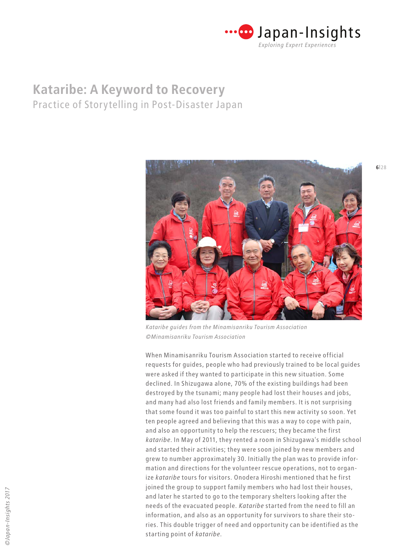



*Kataribe guides from the Minamisanriku Tourism Association ©Minamisanriku Tourism Association*

When Minamisanriku Tourism Association started to receive official requests for guides, people who had previously trained to be local guides were asked if they wanted to participate in this new situation. Some declined. In Shizugawa alone, 70% of the existing buildings had been destroyed by the tsunami; many people had lost their houses and jobs, and many had also lost friends and family members. It is not surprising that some found it was too painful to start this new activity so soon. Yet ten people agreed and believing that this was a way to cope with pain, and also an opportunity to help the rescuers; they became the first *kataribe*. In May of 2011, they rented a room in Shizugawa's middle school and started their activities; they were soon joined by new members and grew to number approximately 30. Initially the plan was to provide information and directions for the volunteer rescue operations, not to organize *kataribe* tours for visitors. Onodera Hiroshi mentioned that he first joined the group to support family members who had lost their houses, and later he started to go to the temporary shelters looking after the needs of the evacuated people. *Kataribe* started from the need to fill an information, and also as an opportunity for survivors to share their stories. This double trigger of need and opportunity can be identified as the starting point of *kataribe*.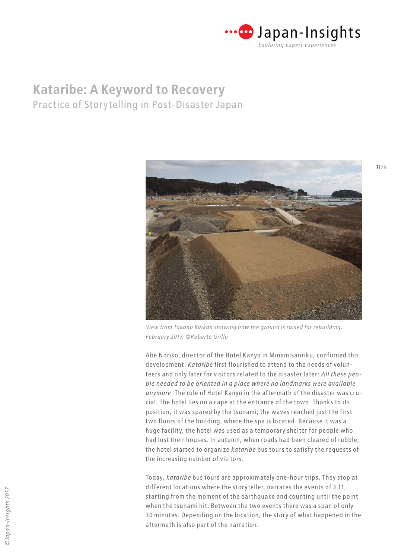



*View from Takano Kaikan showing how the ground is raised for rebuilding, February 2017, ©Roberto Grillo*

Abe Noriko, director of the Hotel Kanyo in Minamisanriku, confirmed this development. *Kataribe* first flourished to attend to the needs of volunteers and only later for visitors related to the disaster later: *All these people needed to be oriented in a place where no landmarks were available anymore.* The role of Hotel Kanyo in the aftermath of the disaster was crucial. The hotel lies on a cape at the entrance of the town. Thanks to its position, it was spared by the tsunami; the waves reached just the first two floors of the building, where the spa is located. Because it was a huge facility, the hotel was used as a temporary shelter for people who had lost their houses. In autumn, when roads had been cleared of rubble, the hotel started to organize *kataribe* bus tours to satisfy the requests of the increasing number of visitors.

Today, *kataribe* bus tours are approximately one-hour trips. They stop at different locations where the storyteller, narrates the events of 3.11, starting from the moment of the earthquake and counting until the point when the tsunami hit. Between the two events there was a span of only 30 minutes. Depending on the location, the story of what happened in the aftermath is also part of the narration.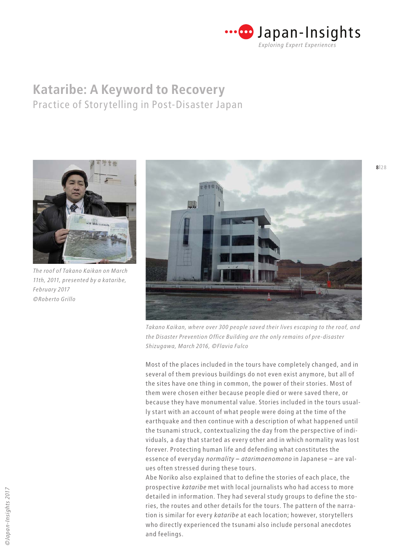



*The roof of Takano Kaikan on March 11th, 2011, presented by a kataribe, February 2017 ©Roberto Grillo*



*Takano Kaikan, where over 300 people saved their lives escaping to the roof, and the Disaster Prevention Office Building are the only remains of pre-disaster Shizugawa, March 2016, ©Flavia Fulco*

Most of the places included in the tours have completely changed, and in several of them previous buildings do not even exist anymore, but all of the sites have one thing in common, the power of their stories. Most of them were chosen either because people died or were saved there, or because they have monumental value. Stories included in the tours usually start with an account of what people were doing at the time of the earthquake and then continue with a description of what happened until the tsunami struck, contextualizing the day from the perspective of individuals, a day that started as every other and in which normality was lost forever. Protecting human life and defending what constitutes the essence of everyday *normality* – *atarimaenomono* in Japanese – are values often stressed during these tours.

Abe Noriko also explained that to define the stories of each place, the prospective *kataribe* met with local journalists who had access to more detailed in information. They had several study groups to define the stories, the routes and other details for the tours. The pattern of the narration is similar for every *kataribe* at each location; however, storytellers who directly experienced the tsunami also include personal anecdotes and feelings.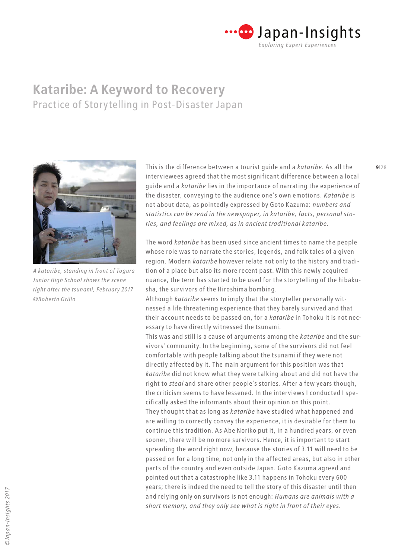



*A kataribe, standing in front of Togura Junior High School shows the scene right after the tsunami, February 2017 ©Roberto Grillo*

**8**|28 **8||28 This is the difference between a tourist guide and a** *kataribe***. As all the <b>9**|28 interviewees agreed that the most significant difference between a local guide and a *kataribe* lies in the importance of narrating the experience of the disaster, conveying to the audience one's own emotions. *Kataribe* is not about data, as pointedly expressed by Goto Kazuma: *numbers and statistics can be read in the newspaper, in kataribe, facts, personal stories, and feelings are mixed, as in ancient traditional kataribe.*

> The word *kataribe* has been used since ancient times to name the people whose role was to narrate the stories, legends, and folk tales of a given region. Modern *kataribe* however relate not only to the history and tradition of a place but also its more recent past. With this newly acquired nuance, the term has started to be used for the storytelling of the hibakusha, the survivors of the Hiroshima bombing.

> Although *kataribe* seems to imply that the storyteller personally witnessed a life threatening experience that they barely survived and that their account needs to be passed on, for a *kataribe* in Tohoku it is not necessary to have directly witnessed the tsunami.

> This was and still is a cause of arguments among the *kataribe* and the survivors' community. In the beginning, some of the survivors did not feel comfortable with people talking about the tsunami if they were not directly affected by it. The main argument for this position was that *kataribe* did not know what they were talking about and did not have the right to *steal* and share other people's stories. After a few years though, the criticism seems to have lessened. In the interviews I conducted I specifically asked the informants about their opinion on this point. They thought that as long as *kataribe* have studied what happened and are willing to correctly convey the experience, it is desirable for them to continue this tradition. As Abe Noriko put it, in a hundred years, or even sooner, there will be no more survivors. Hence, it is important to start spreading the word right now, because the stories of 3.11 will need to be passed on for a long time, not only in the affected areas, but also in other parts of the country and even outside Japan. Goto Kazuma agreed and pointed out that a catastrophe like 3.11 happens in Tohoku every 600 years; there is indeed the need to tell the story of this disaster until then and relying only on survivors is not enough: *Humans are animals with a short memory, and they only see what is right in front of their eyes.*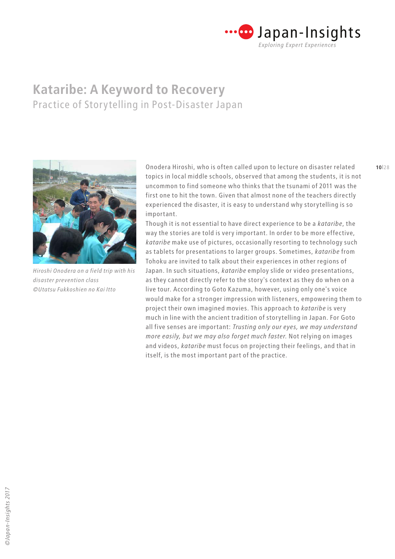



*Hiroshi Onodera on a field trip with his disaster prevention class ©Utatsu Fukkoshien no Kai Itto*

**9**|28 **10**|28 Onodera Hiroshi, who is often called upon to lecture on disaster related topics in local middle schools, observed that among the students, it is not uncommon to find someone who thinks that the tsunami of 2011 was the first one to hit the town. Given that almost none of the teachers directly experienced the disaster, it is easy to understand why storytelling is so important.

> Though it is not essential to have direct experience to be a *kataribe*, the way the stories are told is very important. In order to be more effective, *kataribe* make use of pictures, occasionally resorting to technology such as tablets for presentations to larger groups. Sometimes, *kataribe* from Tohoku are invited to talk about their experiences in other regions of Japan. In such situations, *kataribe* employ slide or video presentations, as they cannot directly refer to the story's context as they do when on a live tour. According to Goto Kazuma, however, using only one's voice would make for a stronger impression with listeners, empowering them to project their own imagined movies. This approach to *kataribe* is very much in line with the ancient tradition of storytelling in Japan. For Goto all five senses are important: *Trusting only our eyes, we may understand more easily, but we may also forget much faster.* Not relying on images and videos, *kataribe* must focus on projecting their feelings, and that in itself, is the most important part of the practice.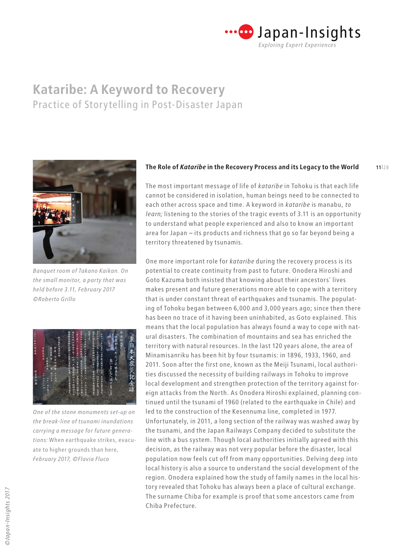



*Banquet room of Takano Kaikan. On the small monitor, a party that was held before 3.11, February 2017 ©Roberto Grillo*



*One of the stone monuments set-up on the break-line of tsunami inundations carrying a message for future generations:* When earthquake strikes, evacuate to higher grounds than here, *February 2017, ©Flavia Fluco*

#### **11**|28 **The Role of** *Kataribe* **in the Recovery Process and its Legacy to the World**

The most important message of life of *kataribe* in Tohoku is that each life cannot be considered in isolation, human beings need to be connected to each other across space and time. A keyword in *kataribe* is manabu, *to learn;* listening to the stories of the tragic events of 3.11 is an opportunity to understand what people experienced and also to know an important area for Japan – its products and richness that go so far beyond being a territory threatened by tsunamis.

One more important role for *kataribe* during the recovery process is its potential to create continuity from past to future. Onodera Hiroshi and Goto Kazuma both insisted that knowing about their ancestors' lives makes present and future generations more able to cope with a territory that is under constant threat of earthquakes and tsunamis. The populating of Tohoku began between 6,000 and 3,000 years ago; since then there has been no trace of it having been uninhabited, as Goto explained. This means that the local population has always found a way to cope with natural disasters. The combination of mountains and sea has enriched the territory with natural resources. In the last 120 years alone, the area of Minamisanriku has been hit by four tsunamis: in 1896, 1933, 1960, and 2011. Soon after the first one, known as the Meiji Tsunami, local authorities discussed the necessity of building railways in Tohoku to improve local development and strengthen protection of the territory against foreign attacks from the North. As Onodera Hiroshi explained, planning continued until the tsunami of 1960 (related to the earthquake in Chile) and led to the construction of the Kesennuma line, completed in 1977. Unfortunately, in 2011, a long section of the railway was washed away by the tsunami, and the Japan Railways Company decided to substitute the line with a bus system. Though local authorities initially agreed with this decision, as the railway was not very popular before the disaster, local population now feels cut off from many opportunities. Delving deep into local history is also a source to understand the social development of the region. Onodera explained how the study of family names in the local history revealed that Tohoku has always been a place of cultural exchange. The surname Chiba for example is proof that some ancestors came from Chiba Prefecture.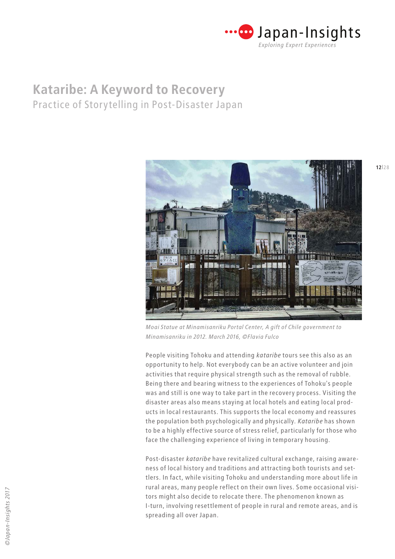



*Moai Statue at Minamisanriku Portal Center, A gift of Chile government to Minamisanriku in 2012. March 2016, ©Flavia Fulco*

People visiting Tohoku and attending *kataribe* tours see this also as an opportunity to help. Not everybody can be an active volunteer and join activities that require physical strength such as the removal of rubble. Being there and bearing witness to the experiences of Tohoku's people was and still is one way to take part in the recovery process. Visiting the disaster areas also means staying at local hotels and eating local products in local restaurants. This supports the local economy and reassures the population both psychologically and physically. *Kataribe* has shown to be a highly effective source of stress relief, particularly for those who face the challenging experience of living in temporary housing.

Post-disaster *kataribe* have revitalized cultural exchange, raising awareness of local history and traditions and attracting both tourists and settlers. In fact, while visiting Tohoku and understanding more about life in rural areas, many people reflect on their own lives. Some occasional visitors might also decide to relocate there. The phenomenon known as I-turn, involving resettlement of people in rural and remote areas, and is spreading all over Japan.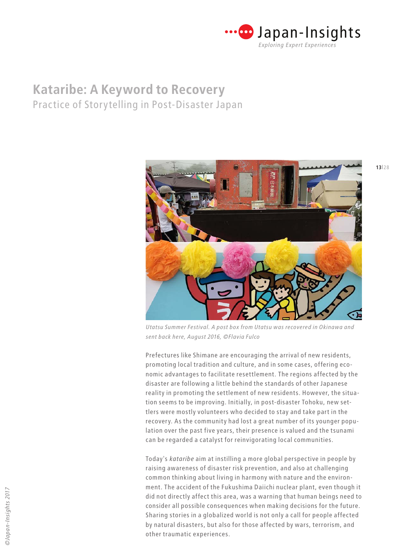



*Utatsu Summer Festival. A post box from Utatsu was recovered in Okinawa and sent back here, August 2016, ©Flavia Fulco*

Prefectures like Shimane are encouraging the arrival of new residents, promoting local tradition and culture, and in some cases, offering economic advantages to facilitate resettlement. The regions affected by the disaster are following a little behind the standards of other Japanese reality in promoting the settlement of new residents. However, the situation seems to be improving. Initially, in post-disaster Tohoku, new settlers were mostly volunteers who decided to stay and take part in the recovery. As the community had lost a great number of its younger population over the past five years, their presence is valued and the tsunami can be regarded a catalyst for reinvigorating local communities.

Today's *kataribe* aim at instilling a more global perspective in people by raising awareness of disaster risk prevention, and also at challenging common thinking about living in harmony with nature and the environment. The accident of the Fukushima Daiichi nuclear plant, even though it did not directly affect this area, was a warning that human beings need to consider all possible consequences when making decisions for the future. Sharing stories in a globalized world is not only a call for people affected by natural disasters, but also for those affected by wars, terrorism, and other traumatic experiences.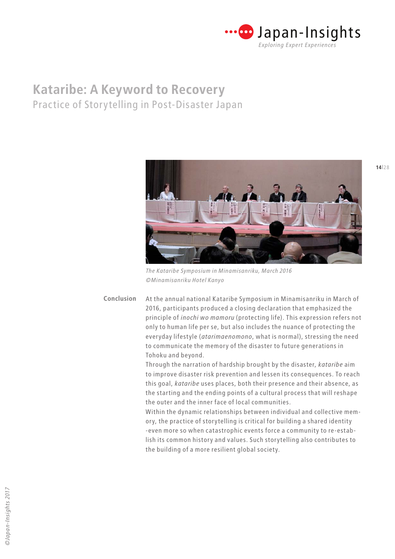



*The Kataribe Symposium in Minamisanriku, March 2016 ©Minamisanriku Hotel Kanyo*

At the annual national Kataribe Symposium in Minamisanriku in March of 2016, participants produced a closing declaration that emphasized the principle of *inochi wo mamoru* (protecting life). This expression refers not only to human life per se, but also includes the nuance of protecting the everyday lifestyle (*atarimaenomono*, what is normal), stressing the need to communicate the memory of the disaster to future generations in Tohoku and beyond. **Conclusion**

> Through the narration of hardship brought by the disaster, *kataribe* aim to improve disaster risk prevention and lessen its consequences. To reach this goal, *kataribe* uses places, both their presence and their absence, as the starting and the ending points of a cultural process that will reshape the outer and the inner face of local communities.

> Within the dynamic relationships between individual and collective memory, the practice of storytelling is critical for building a shared identity -even more so when catastrophic events force a community to re-establish its common history and values. Such storytelling also contributes to the building of a more resilient global society.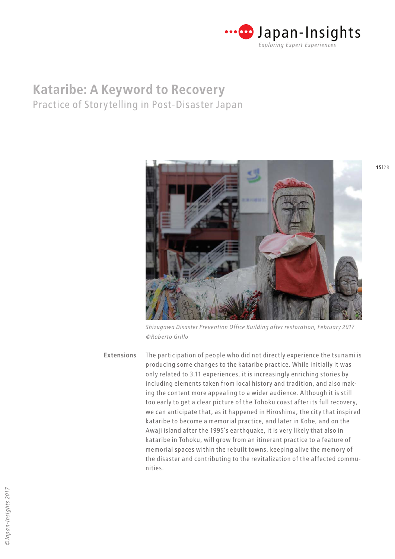



*Shizugawa Disaster Prevention Office Building after restoration, February 2017 ©Roberto Grillo*

The participation of people who did not directly experience the tsunami is producing some changes to the kataribe practice. While initially it was only related to 3.11 experiences, it is increasingly enriching stories by including elements taken from local history and tradition, and also making the content more appealing to a wider audience. Although it is still too early to get a clear picture of the Tohoku coast after its full recovery, we can anticipate that, as it happened in Hiroshima, the city that inspired kataribe to become a memorial practice, and later in Kobe, and on the Awaji island after the 1995's earthquake, it is very likely that also in kataribe in Tohoku, will grow from an itinerant practice to a feature of memorial spaces within the rebuilt towns, keeping alive the memory of the disaster and contributing to the revitalization of the affected communities. **Extensions**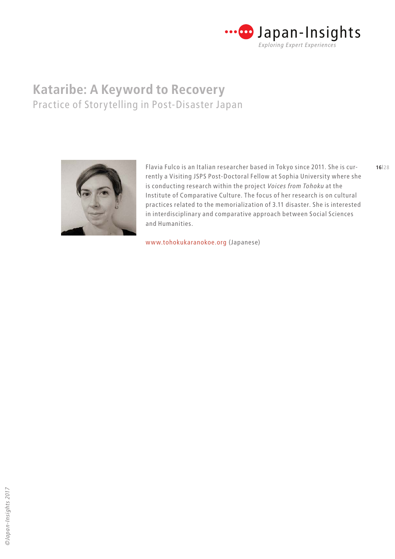



**16**|28 Flavia Fulco is an Italian researcher based in Tokyo since 2011. She is currently a Visiting JSPS Post-Doctoral Fellow at Sophia University where she is conducting research within the project *Voices from Tohoku* at the Institute of Comparative Culture. The focus of her research is on cultural practices related to the memorialization of 3.11 disaster. She is interested in interdisciplinary and comparative approach between Social Sciences and Humanities.

[www.tohokukaranokoe.org](https://tohokukaranokoe.org) (Japanese)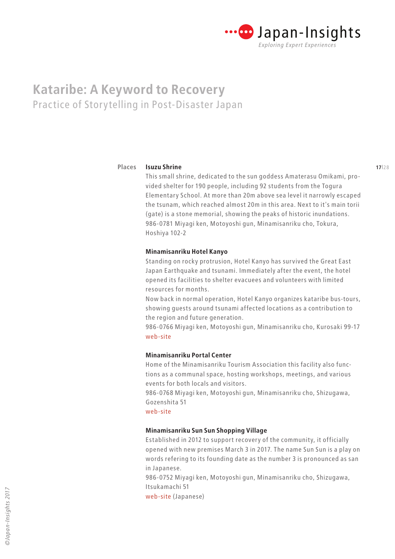

#### **Isuzu Shrine Places**

This small shrine, dedicated to the sun goddess Amaterasu Omikami, provided shelter for 190 people, including 92 students from the Togura Elementary School. At more than 20m above sea level it narrowly escaped the tsunam, which reached almost 20m in this area. Next to it's main torii (gate) is a stone memorial, showing the peaks of historic inundations. 986-0781 Miyagi ken, Motoyoshi gun, Minamisanriku cho, Tokura, Hoshiya 102-2

### **Minamisanriku Hotel Kanyo**

Standing on rocky protrusion, Hotel Kanyo has survived the Great East Japan Earthquake and tsunami. Immediately after the event, the hotel opened its facilities to shelter evacuees and volunteers with limited resources for months.

Now back in normal operation, Hotel Kanyo organizes kataribe bus-tours, showing guests around tsunami affected locations as a contribution to the region and future generation.

986-0766 Miyagi ken, Motoyoshi gun, Minamisanriku cho, Kurosaki 99-17 [web-site](http://www.japanican.com/en/hotel/detail/2454001/)

### **Minamisanriku Portal Center**

Home of the Minamisanriku Tourism Association this facility also functions as a communal space, hosting workshops, meetings, and various events for both locals and visitors.

986-0768 Miyagi ken, Motoyoshi gun, Minamisanriku cho, Shizugawa, Gozenshita 51

[web-site](http://www.m-kankou.jp/facility/portal-center/)

### **Minamisanriku Sun Sun Shopping Village**

Established in 2012 to support recovery of the community, it officially opened with new premises March 3 in 2017. The name Sun Sun is a play on words refering to its founding date as the number 3 is pronounced as san in Japanese.

986-0752 Miyagi ken, Motoyoshi gun, Minamisanriku cho, Shizugawa, Itsukamachi 51

[web-site \(Japanese\)](https://www.sansan-minamisanriku.com/)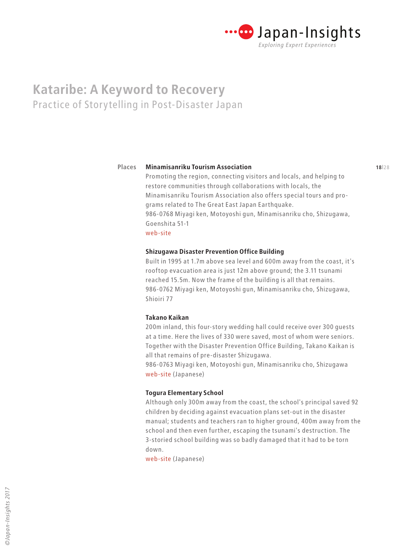

#### **17**|28 **18**|28 **Minamisanriku Tourism Association Places**

Promoting the region, connecting visitors and locals, and helping to restore communities through collaborations with locals, the Minamisanriku Tourism Association also offers special tours and programs related to The Great East Japan Earthquake. 986-0768 Miyagi ken, Motoyoshi gun, Minamisanriku cho, Shizugawa, Goenshita 51-1 [web-site](http://www.m-kankou.jp/)

#### **Shizugawa Disaster Prevention Office Building**

Built in 1995 at 1.7m above sea level and 600m away from the coast, it's rooftop evacuation area is just 12m above ground; the 3.11 tsunami reached 15.5m. Now the frame of the building is all that remains. 986-0762 Miyagi ken, Motoyoshi gun, Minamisanriku cho, Shizugawa, Shioiri 77

### **Takano Kaikan**

200m inland, this four-story wedding hall could receive over 300 guests at a time. Here the lives of 330 were saved, most of whom were seniors. Together with the Disaster Prevention Office Building, Takano Kaikan is all that remains of pre-disaster Shizugawa.

986-0763 Miyagi ken, Motoyoshi gun, Minamisanriku cho, Shizugawa [web-site](http://takanogroup.com/) (Japanese)

#### **Togura Elementary School**

Although only 300m away from the coast, the school's principal saved 92 children by deciding against evacuation plans set-out in the disaster manual; students and teachers ran to higher ground, 400m away from the school and then even further, escaping the tsunami's destruction. The 3-storied school building was so badly damaged that it had to be torn down.

[web-site](http://www.town.minamisanriku.miyagi.jp/index.cfm/24,html) (Japanese)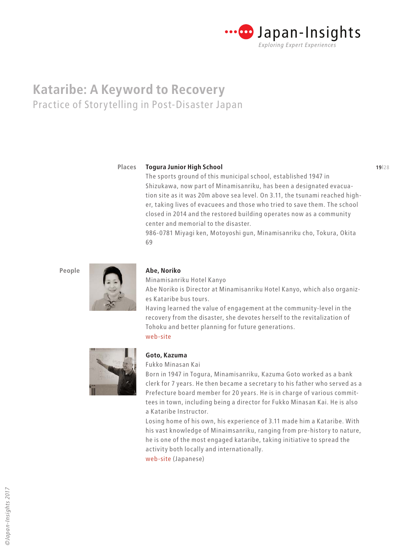

**Places**

### **18**|28 **19**|28 **Togura Junior High School**

The sports ground of this municipal school, established 1947 in Shizukawa, now part of Minamisanriku, has been a designated evacuation site as it was 20m above sea level. On 3.11, the tsunami reached higher, taking lives of evacuees and those who tried to save them. The school closed in 2014 and the restored building operates now as a community center and memorial to the disaster.

986-0781 Miyagi ken, Motoyoshi gun, Minamisanriku cho, Tokura, Okita 69

**People**



#### **Abe, Noriko**

Minamisanriku Hotel Kanyo Abe Noriko is Director at Minamisanriku Hotel Kanyo, which also organizes Kataribe bus tours.

Having learned the value of engagement at the community-level in the recovery from the disaster, she devotes herself to the revitalization of Tohoku and better planning for future generations. [web-site](http://www.mkanyo.jp/)



#### **Goto, Kazuma**

Fukko Minasan Kai

Born in 1947 in Togura, Minamisanriku, Kazuma Goto worked as a bank clerk for 7 years. He then became a secretary to his father who served as a Prefecture board member for 20 years. He is in charge of various committees in town, including being a director for Fukko Minasan Kai. He is also a Kataribe Instructor.

Losing home of his own, his experience of 3.11 made him a Kataribe. With his vast knowledge of Minaimsanriku, ranging from pre-history to nature, he is one of the most engaged kataribe, taking initiative to spread the activity both locally and internationally.

[web-site](http://tohokuconso.org/common/minasan/index.html) (Japanese)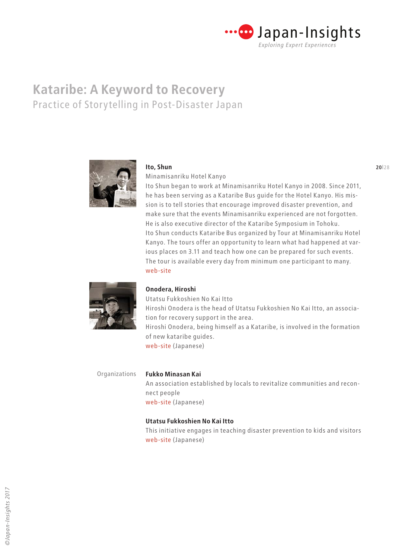



#### **Ito, Shun**

Minamisanriku Hotel Kanyo

Ito Shun began to work at Minamisanriku Hotel Kanyo in 2008. Since 2011, he has been serving as a Kataribe Bus guide for the Hotel Kanyo. His mission is to tell stories that encourage improved disaster prevention, and make sure that the events Minamisanriku experienced are not forgotten. He is also executive director of the Kataribe Symposium in Tohoku. Ito Shun conducts Kataribe Bus organized by Tour at Minamisanriku Hotel Kanyo. The tours offer an opportunity to learn what had happened at various places on 3.11 and teach how one can be prepared for such events. The tour is available every day from minimum one participant to many. [web-site](http://www.mkanyo.jp)



### **Onodera, Hiroshi**

Utatsu Fukkoshien No Kai Itto Hiroshi Onodera is the head of Utatsu Fukkoshien No Kai Itto, an association for recovery support in the area. Hiroshi Onodera, being himself as a Kataribe, is involved in the formation of new kataribe guides. [web-site](https://utatsu-ittou.amebaownd.com/) (Japanese)

Organizations

**Fukko Minasan Kai** An association established by locals to revitalize communities and reconnect people [web-site](http://tohokuconso.org/common/minasan/index.html) (Japanese)

### **Utatsu Fukkoshien No Kai Itto**

This initiative engages in teaching disaster prevention to kids and visitors [web-site](https://utatsu-ittou.amebaownd.com/) (Japanese)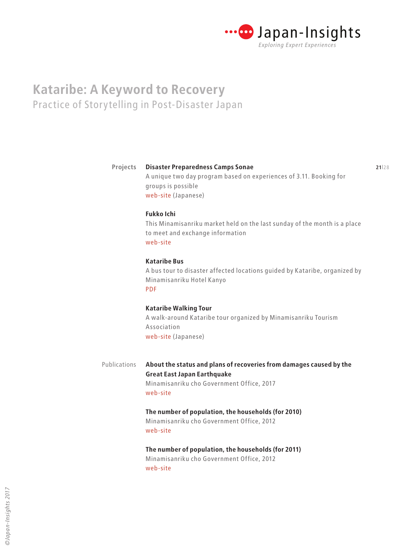

#### **20**|28 **21**|28 **Disaster Preparedness Camps Sonae Projects**

A unique two day program based on experiences of 3.11. Booking for groups is possible [web-site](http://www.m-kankou.jp/program/18893.html) (Japanese)

**Fukko Ichi**

This Minamisanriku market held on the last sunday of the month is a place to meet and exchange information [web-site](https://www.m-kankou.jp/english/project/fukko-ichi-minamisanriku-fukko-market/)

### **Kataribe Bus**

A bus tour to disaster affected locations guided by Kataribe, organized by Minamisanriku Hotel Kanyo [PDF](http://www.mkanyo.jp/brochure/2017/06/05/kataribe_bus_ENG2017.pdf)

### **Kataribe Walking Tour**

A walk-around Kataribe tour organized by Minamisanriku Tourism Association [web-site](https://www.m-kankou.jp/tour/storyteller-out/) (Japanese)

**About the status and plans of recoveries from damages caused by the Great East Japan Earthquake** Minamisanriku cho Government Office, 2017 [web-site](http://www.town.minamisanriku.miyagi.jp.e.ns.hp.transer.com/index.cfm/17,181,21,html) Publications

### **The number of population, the households (for 2010)**

Minamisanriku cho Government Office, 2012 [web-site](http://www.town.minamisanriku.miyagi.jp.e.ns.hp.transer.com/index.cfm/10,800,56,239,html)

**The number of population, the households (for 2011)** Minamisanriku cho Government Office, 2012 [web-site](http://www.town.minamisanriku.miyagi.jp.e.ns.hp.transer.com/index.cfm/10,801,56,239,html )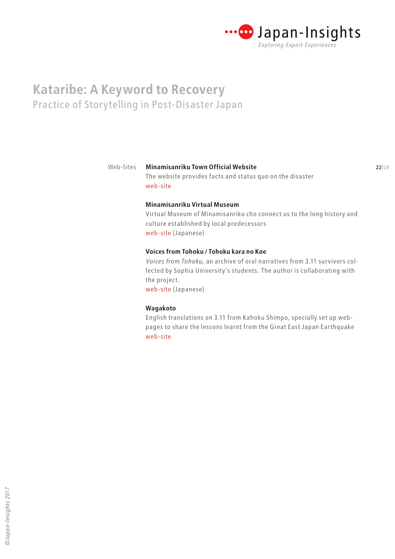

#### **21**|28 **22**|28 **Minamisanriku Town Official Website** Web-Sites

### The website provides facts and status quo on the disaster [web-site](http://www.town.minamisanriku.miyagi.jp.e.ns.hp.transer.com/index.cfm/10,800,56,239,html)

### **Minamisanriku Virtual Museum**

Virtual Museum of Minamisanriku cho connect us to the long history and culture established by local predecessors [web-site](http://www.town.minamisanriku.miyagi.jp/museum/index.html) (Japanese)

#### **Voices from Tohoku / Tohoku kara no Koe**

*Voices from Tohoku,* an archive of oral narratives from 3.11 survivors collected by Sophia University's students. The author is collaborating with the project. [web-site](https://tohokukaranokoe.org) (Japanese)

### **Wagakoto**

English translations on 3.11 from Kahoku Shimpo, specially set up webpages to share the lessons learnt from the Great East Japan Earthquake [web-site](http://www.kahoku.co.jp/special/spe1151/)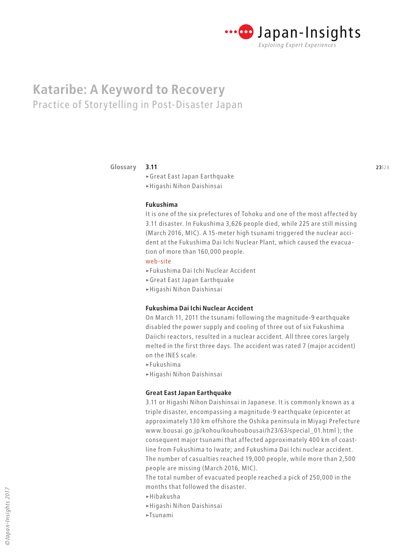

#### **3.11 Glossary**

>Great East Japan Earthquake >Higashi Nihon Daishinsai

#### **Fukushima**

It is one of the six prefectures of Tohoku and one of the most affected by 3.11 disaster. In Fukushima 3,626 people died, while 225 are still missing (March 2016, MIC). A 15-meter high tsunami triggered the nuclear accident at the Fukushima Dai Ichi Nuclear Plant, which caused the evacuation of more than 160,000 people.

#### [web-site](http://www.pref.fukushima.lg.jp/site/portal/list271.html)

- >Fukushima Dai Ichi Nuclear Accident
- >Great East Japan Earthquake
- >Higashi Nihon Daishinsai

### **Fukushima Dai Ichi Nuclear Accident**

On March 11, 2011 the tsunami following the magnitude-9 earthquake disabled the power supply and cooling of three out of six Fukushima Daiichi reactors, resulted in a nuclear accident. All three cores largely melted in the first three days. The accident was rated 7 (major accident) on the INES scale.

- >Fukushima
- >Higashi Nihon Daishinsai

#### **Great East Japan Earthquake**

3.11 or Higashi Nihon Daishinsai in Japanese. It is commonly known as a triple disaster, encompassing a magnitude-9 earthquake (epicenter at approximately 130 km offshore the Oshika peninsula in Miyagi Prefecture www.bousai.go.jp/kohou/kouhoubousai/h23/63/special\_01.html ); the consequent major tsunami that affected approximately 400 km of coastline from Fukushima to Iwate; and Fukushima Dai Ichi nuclear accident. The number of casualties reached 19,000 people, while more than 2,500 people are missing (March 2016, MIC).

The total number of evacuated people reached a pick of 250,000 in the months that followed the disaster.

- >Hibakusha
- >Higashi Nihon Daishinsai
- >Tsunami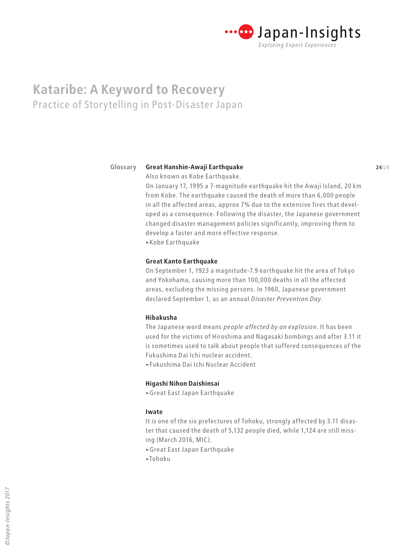

#### **23**|28 **24**|28 **Great Hanshin-Awaji Earthquake Glossary**

Also known as Kobe Earthquake.

On January 17, 1995 a 7-magnitude earthquake hit the Awaji Island, 20 km from Kobe. The earthquake caused the death of more than 6,000 people in all the affected areas, approx 7% due to the extensive fires that developed as a consequence. Following the disaster, the Japanese government changed disaster management policies significantly, improving them to develop a faster and more effective response.

>Kobe Earthquake

#### **Great Kanto Earthquake**

On September 1, 1923 a magnitude-7.9 earthquake hit the area of Tokyo and Yokohama, causing more than 100,000 deaths in all the affected areas, excluding the missing persons. In 1960, Japanese government declared September 1, as an annual *Disaster Prevention Day.*

### **Hibakusha**

The Japanese word means *people affected by an explosion.* It has been used for the victims of Hiroshima and Nagasaki bombings and after 3.11 it is sometimes used to talk about people that suffered consequences of the Fukushima Dai Ichi nuclear accident.

>Fukushima Dai Ichi Nuclear Accident

#### **Higashi Nihon Daishinsai**

>Great East Japan Earthquake

#### **Iwate**

It is one of the six prefectures of Tohoku, strongly affected by 3.11 disaster that caused the death of 5,132 people died, while 1,124 are still missing (March 2016, MIC).

>Great East Japan Earthquake

>Tohoku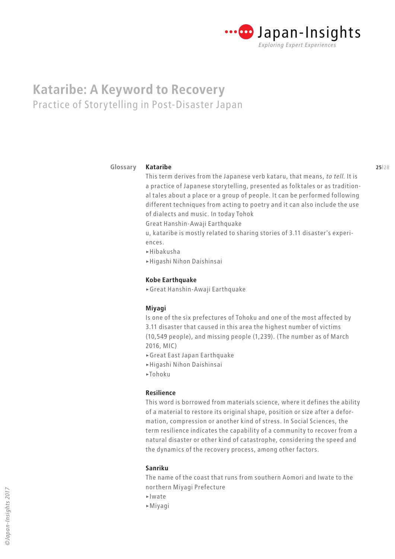

#### **25**|28 **26|28 26|28 26|28 26|28 26|28 26|28 26|28 26|28 26|28 26|28 26|28 Kataribe Glossary**

This term derives from the Japanese verb kataru, that means, *to tell.* It is a practice of Japanese storytelling, presented as folktales or as traditional tales about a place or a group of people. It can be performed following different techniques from acting to poetry and it can also include the use of dialects and music. In today Tohok

Great Hanshin-Awaji Earthquake

u, kataribe is mostly related to sharing stories of 3.11 disaster's experiences.

- >Hibakusha
- >Higashi Nihon Daishinsai

### **Kobe Earthquake**

>Great Hanshin-Awaji Earthquake

### **Miyagi**

Is one of the six prefectures of Tohoku and one of the most affected by 3.11 disaster that caused in this area the highest number of victims (10,549 people), and missing people (1,239). (The number as of March 2016, MIC)

- >Great East Japan Earthquake
- >Higashi Nihon Daishinsai
- >Tohoku

### **Resilience**

This word is borrowed from materials science, where it defines the ability of a material to restore its original shape, position or size after a deformation, compression or another kind of stress. In Social Sciences, the term resilience indicates the capability of a community to recover from a natural disaster or other kind of catastrophe, considering the speed and the dynamics of the recovery process, among other factors.

### **Sanriku**

The name of the coast that runs from southern Aomori and Iwate to the northern Miyagi Prefecture

- >Iwate
- >Miyagi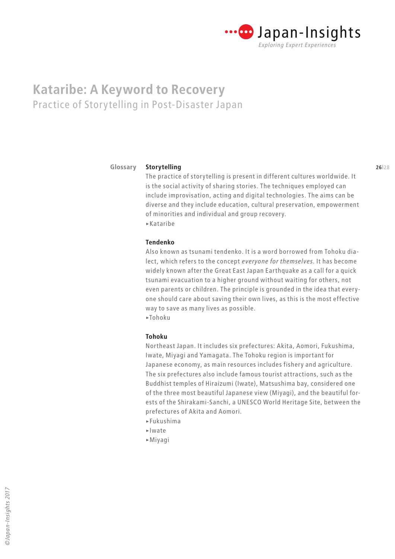

#### **25**|28 **26**|28 **Glossary**

The practice of storytelling is present in different cultures worldwide. It is the social activity of sharing stories. The techniques employed can include improvisation, acting and digital technologies. The aims can be diverse and they include education, cultural preservation, empowerment of minorities and individual and group recovery. >Kataribe

#### **Tendenko**

**Storytelling**

Also known as tsunami tendenko. It is a word borrowed from Tohoku dialect, which refers to the concept *everyone for themselves.* It has become widely known after the Great East Japan Earthquake as a call for a quick tsunami evacuation to a higher ground without waiting for others, not even parents or children. The principle is grounded in the idea that everyone should care about saving their own lives, as this is the most effective way to save as many lives as possible. >Tohoku

#### **Tohoku**

Northeast Japan. It includes six prefectures: Akita, Aomori, Fukushima, Iwate, Miyagi and Yamagata. The Tohoku region is important for Japanese economy, as main resources includes fishery and agriculture. The six prefectures also include famous tourist attractions, such as the Buddhist temples of Hiraizumi (Iwate), Matsushima bay, considered one of the three most beautiful Japanese view (Miyagi), and the beautiful forests of the Shirakami-Sanchi, a UNESCO World Heritage Site, between the prefectures of Akita and Aomori.

- >Fukushima
- >Iwate
- >Miyagi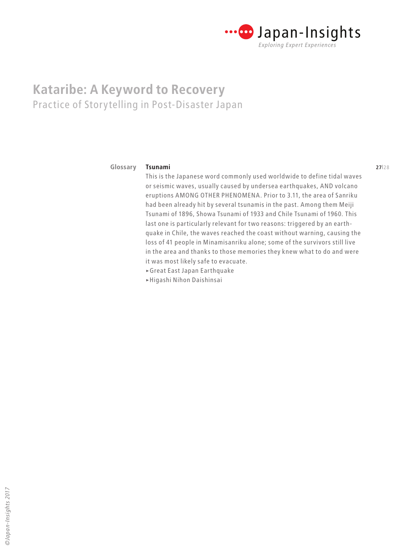

#### **26**|28 **27**|28 **Tsunami Glossary**

This is the Japanese word commonly used worldwide to define tidal waves or seismic waves, usually caused by undersea earthquakes, AND volcano eruptions AMONG OTHER PHENOMENA. Prior to 3.11, the area of Sanriku had been already hit by several tsunamis in the past. Among them Meiji Tsunami of 1896, Showa Tsunami of 1933 and Chile Tsunami of 1960. This last one is particularly relevant for two reasons: triggered by an earthquake in Chile, the waves reached the coast without warning, causing the loss of 41 people in Minamisanriku alone; some of the survivors still live in the area and thanks to those memories they knew what to do and were it was most likely safe to evacuate.

- >Great East Japan Earthquake
- >Higashi Nihon Daishinsai